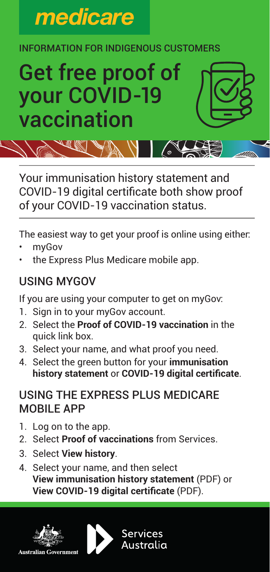

#### INFORMATION FOR INDIGENOUS CUSTOMERS

# Get free proof of your COVID-19 vaccination

Your immunisation history statement and COVID-19 digital certificate both show proof of your COVID-19 vaccination status.

 $\sqrt{\circ}$ 

The easiest way to get your proof is online using either:

- myGov
- the Express Plus Medicare mobile app.

## USING MYGOV

If you are using your computer to get on myGov:

- 1. Sign in to your myGov account.
- 2. Select the **Proof of COVID-19 vaccination** in the quick link box.
- 3. Select your name, and what proof you need.
- 4. Select the green button for your **immunisation history statement** or **COVID-19 digital certificate**.

## USING THE EXPRESS PLUS MEDICARE MOBILE APP

- 1. Log on to the app.
- 2. Select **Proof of vaccinations** from Services.
- 3. Select **View history**.
- 4. Select your name, and then select **View immunisation history statement** (PDF) or **View COVID-19 digital certificate** (PDF).